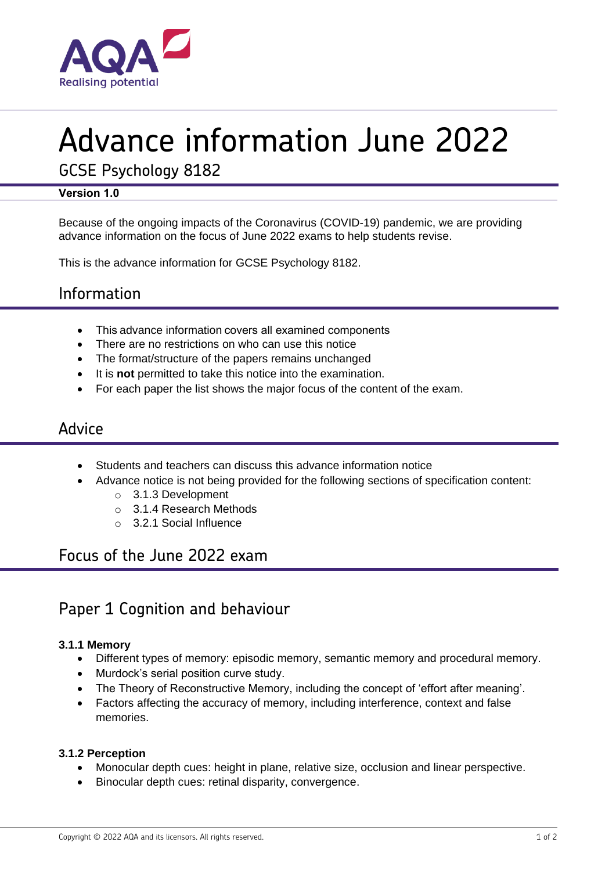

# Advance information June 2022

GCSE Psychology 8182

## **Version 1.0**

Because of the ongoing impacts of the Coronavirus (COVID-19) pandemic, we are providing advance information on the focus of June 2022 exams to help students revise.

This is the advance information for GCSE Psychology 8182.

# Information

- This advance information covers all examined components
- There are no restrictions on who can use this notice
- The format/structure of the papers remains unchanged
- It is **not** permitted to take this notice into the examination.
- For each paper the list shows the major focus of the content of the exam.

## Advice

- Students and teachers can discuss this advance information notice
- Advance notice is not being provided for the following sections of specification content:
	- o 3.1.3 Development
	- o 3.1.4 Research Methods
	- o 3.2.1 Social Influence

# Focus of the June 2022 exam

# Paper 1 Cognition and behaviour

## **3.1.1 Memory**

- Different types of memory: episodic memory, semantic memory and procedural memory.
- Murdock's serial position curve study.
- The Theory of Reconstructive Memory, including the concept of 'effort after meaning'.
- Factors affecting the accuracy of memory, including interference, context and false memories.

#### **3.1.2 Perception**

- Monocular depth cues: height in plane, relative size, occlusion and linear perspective.
- Binocular depth cues: retinal disparity, convergence.